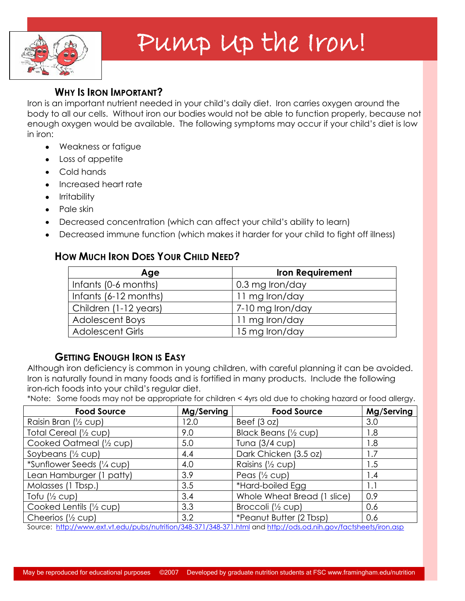

# Pump Up the Iron!

### **WHY IS IRON IMPORTANT?**

Iron is an important nutrient needed in your child"s daily diet. Iron carries oxygen around the body to all our cells. Without iron our bodies would not be able to function properly, because not enough oxygen would be available. The following symptoms may occur if your child"s diet is low in iron:

- Weakness or fatigue
- Loss of appetite
- Cold hands  $\bullet$
- Increased heart rate
- Irritability
- Pale skin
- Decreased concentration (which can affect your child"s ability to learn)
- Decreased immune function (which makes it harder for your child to fight off illness)  $\bullet$

# **HOW MUCH IRON DOES YOUR CHILD NEED?**

| Age                     | <b>Iron Requirement</b> |
|-------------------------|-------------------------|
| Infants (0-6 months)    | 0.3 mg Iron/day         |
| Infants (6-12 months)   | 11 mg Iron/day          |
| Children (1-12 years)   | 7-10 mg Iron/day        |
| <b>Adolescent Boys</b>  | 11 mg Iron/day          |
| <b>Adolescent Girls</b> | 15 mg Iron/day          |

# **GETTING ENOUGH IRON IS EASY**

Although iron deficiency is common in young children, with careful planning it can be avoided. Iron is naturally found in many foods and is fortified in many products. Include the following iron-rich foods into your child"s regular diet.

\*Note: Some foods may not be appropriate for children < 4yrs old due to choking hazard or food allergy.

| <b>Food Source</b>                                                                                                                      | Mg/Serving | <b>Food Source</b>          | Mg/Serving |
|-----------------------------------------------------------------------------------------------------------------------------------------|------------|-----------------------------|------------|
| Raisin Bran (1/2 cup)                                                                                                                   | 12.0       | Beef $(3 oz)$               | 3.0        |
| Total Cereal (1/2 cup)                                                                                                                  | 9.0        | Black Beans (1/2 cup)       | 1.8        |
| Cooked Oatmeal (1/2 cup)                                                                                                                | 5.0        | Tuna (3/4 cup)              | 8. ا       |
| Soybeans $\frac{1}{2}$ cup)                                                                                                             | 4.4        | Dark Chicken (3.5 oz)       | 1.7        |
| *Sunflower Seeds (1/4 cup)                                                                                                              | 4.0        | Raisins (1/2 cup)           | 1.5        |
| Lean Hamburger (1 patty)                                                                                                                | 3.9        | Peas $\frac{1}{2}$ cup)     | 1.4        |
| Molasses (1 Tbsp.)                                                                                                                      | 3.5        | *Hard-boiled Egg            | 1.1        |
| Tofu $\frac{1}{2}$ cup)                                                                                                                 | 3.4        | Whole Wheat Bread (1 slice) | 0.9        |
| Cooked Lentils (1/2 cup)                                                                                                                | 3.3        | Broccoli (1/2 cup)          | 0.6        |
| Cheerios $\frac{1}{2}$ cup)                                                                                                             | 3.2        | *Peanut Butter (2 Tbsp)     | 0.6        |
| Course blue through the duties before the decident of 10 10 071 (0.40 071 letter letter the deed and with any feather at a fire a group |            |                             |            |

Source:<http://www.ext.vt.edu/pubs/nutrition/348-371/348-371.html> and<http://ods.od.nih.gov/factsheets/iron.asp>